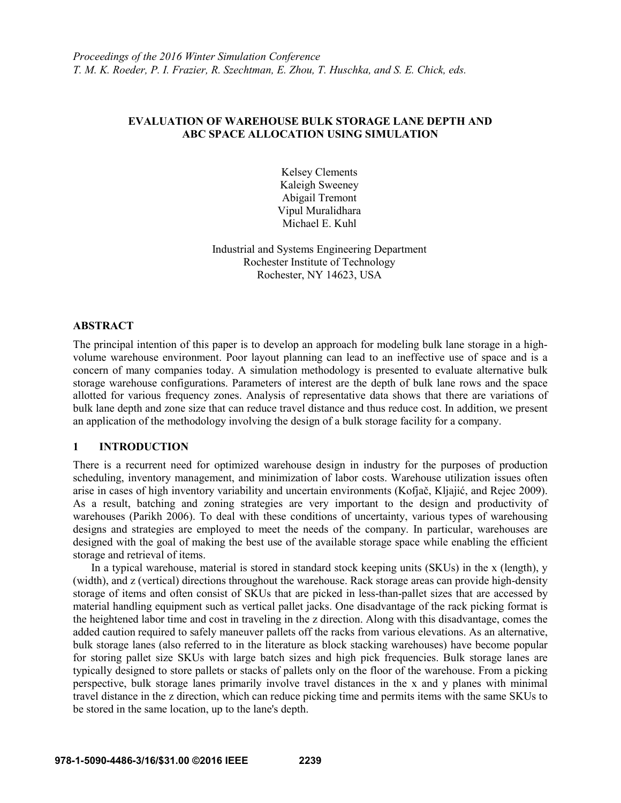# **EVALUATION OF WAREHOUSE BULK STORAGE LANE DEPTH AND ABC SPACE ALLOCATION USING SIMULATION**

Kelsey Clements Kaleigh Sweeney Abigail Tremont Vipul Muralidhara Michael E. Kuhl

Industrial and Systems Engineering Department Rochester Institute of Technology Rochester, NY 14623, USA

### **ABSTRACT**

The principal intention of this paper is to develop an approach for modeling bulk lane storage in a highvolume warehouse environment. Poor layout planning can lead to an ineffective use of space and is a concern of many companies today. A simulation methodology is presented to evaluate alternative bulk storage warehouse configurations. Parameters of interest are the depth of bulk lane rows and the space allotted for various frequency zones. Analysis of representative data shows that there are variations of bulk lane depth and zone size that can reduce travel distance and thus reduce cost. In addition, we present an application of the methodology involving the design of a bulk storage facility for a company.

# **1 INTRODUCTION**

There is a recurrent need for optimized warehouse design in industry for the purposes of production scheduling, inventory management, and minimization of labor costs. Warehouse utilization issues often arise in cases of high inventory variability and uncertain environments (Kofjač, Kljajić, and Rejec 2009). As a result, batching and zoning strategies are very important to the design and productivity of warehouses (Parikh 2006). To deal with these conditions of uncertainty, various types of warehousing designs and strategies are employed to meet the needs of the company. In particular, warehouses are designed with the goal of making the best use of the available storage space while enabling the efficient storage and retrieval of items.

In a typical warehouse, material is stored in standard stock keeping units (SKUs) in the x (length), y (width), and z (vertical) directions throughout the warehouse. Rack storage areas can provide high-density storage of items and often consist of SKUs that are picked in less-than-pallet sizes that are accessed by material handling equipment such as vertical pallet jacks. One disadvantage of the rack picking format is the heightened labor time and cost in traveling in the z direction. Along with this disadvantage, comes the added caution required to safely maneuver pallets off the racks from various elevations. As an alternative, bulk storage lanes (also referred to in the literature as block stacking warehouses) have become popular for storing pallet size SKUs with large batch sizes and high pick frequencies. Bulk storage lanes are typically designed to store pallets or stacks of pallets only on the floor of the warehouse. From a picking perspective, bulk storage lanes primarily involve travel distances in the x and y planes with minimal travel distance in the z direction, which can reduce picking time and permits items with the same SKUs to be stored in the same location, up to the lane's depth.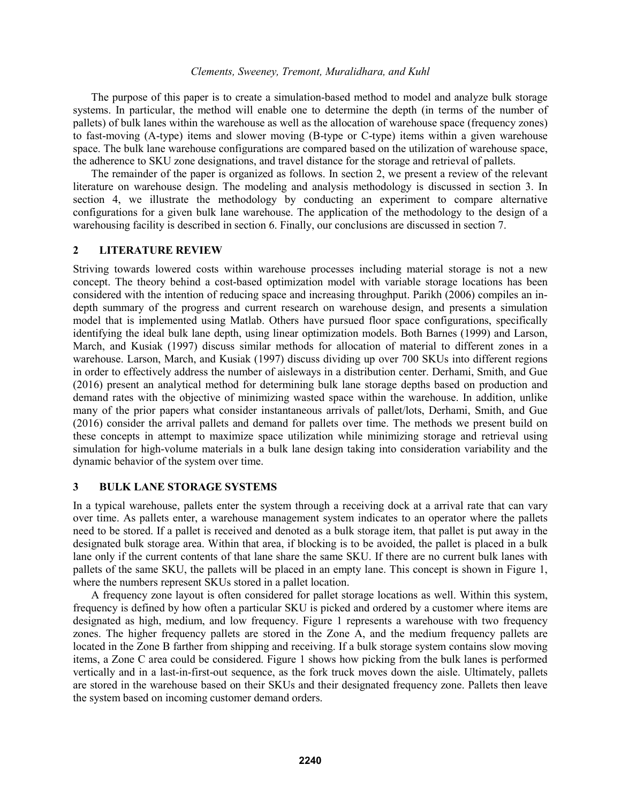The purpose of this paper is to create a simulation-based method to model and analyze bulk storage systems. In particular, the method will enable one to determine the depth (in terms of the number of pallets) of bulk lanes within the warehouse as well as the allocation of warehouse space (frequency zones) to fast-moving (A-type) items and slower moving (B-type or C-type) items within a given warehouse space. The bulk lane warehouse configurations are compared based on the utilization of warehouse space, the adherence to SKU zone designations, and travel distance for the storage and retrieval of pallets.

The remainder of the paper is organized as follows. In section 2, we present a review of the relevant literature on warehouse design. The modeling and analysis methodology is discussed in section 3. In section 4, we illustrate the methodology by conducting an experiment to compare alternative configurations for a given bulk lane warehouse. The application of the methodology to the design of a warehousing facility is described in section 6. Finally, our conclusions are discussed in section 7.

#### **2 LITERATURE REVIEW**

Striving towards lowered costs within warehouse processes including material storage is not a new concept. The theory behind a cost-based optimization model with variable storage locations has been considered with the intention of reducing space and increasing throughput. Parikh (2006) compiles an indepth summary of the progress and current research on warehouse design, and presents a simulation model that is implemented using Matlab. Others have pursued floor space configurations, specifically identifying the ideal bulk lane depth, using linear optimization models. Both Barnes (1999) and Larson, March, and Kusiak (1997) discuss similar methods for allocation of material to different zones in a warehouse. Larson, March, and Kusiak (1997) discuss dividing up over 700 SKUs into different regions in order to effectively address the number of aisleways in a distribution center. Derhami, Smith, and Gue (2016) present an analytical method for determining bulk lane storage depths based on production and demand rates with the objective of minimizing wasted space within the warehouse. In addition, unlike many of the prior papers what consider instantaneous arrivals of pallet/lots, Derhami, Smith, and Gue (2016) consider the arrival pallets and demand for pallets over time. The methods we present build on these concepts in attempt to maximize space utilization while minimizing storage and retrieval using simulation for high-volume materials in a bulk lane design taking into consideration variability and the dynamic behavior of the system over time.

### **3 BULK LANE STORAGE SYSTEMS**

In a typical warehouse, pallets enter the system through a receiving dock at a arrival rate that can vary over time. As pallets enter, a warehouse management system indicates to an operator where the pallets need to be stored. If a pallet is received and denoted as a bulk storage item, that pallet is put away in the designated bulk storage area. Within that area, if blocking is to be avoided, the pallet is placed in a bulk lane only if the current contents of that lane share the same SKU. If there are no current bulk lanes with pallets of the same SKU, the pallets will be placed in an empty lane. This concept is shown in Figure 1, where the numbers represent SKUs stored in a pallet location.

A frequency zone layout is often considered for pallet storage locations as well. Within this system, frequency is defined by how often a particular SKU is picked and ordered by a customer where items are designated as high, medium, and low frequency. Figure 1 represents a warehouse with two frequency zones. The higher frequency pallets are stored in the Zone A, and the medium frequency pallets are located in the Zone B farther from shipping and receiving. If a bulk storage system contains slow moving items, a Zone C area could be considered. Figure 1 shows how picking from the bulk lanes is performed vertically and in a last-in-first-out sequence, as the fork truck moves down the aisle. Ultimately, pallets are stored in the warehouse based on their SKUs and their designated frequency zone. Pallets then leave the system based on incoming customer demand orders.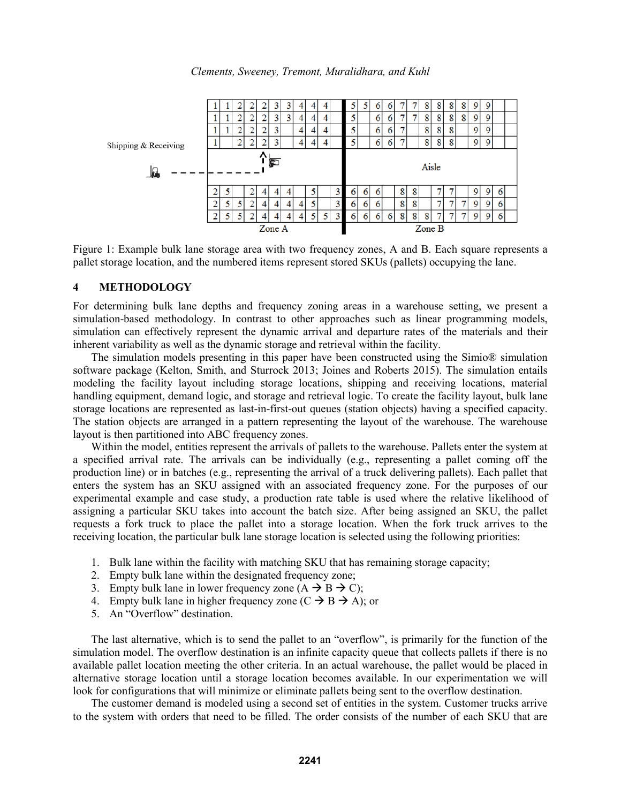



Figure 1: Example bulk lane storage area with two frequency zones, A and B. Each square represents a pallet storage location, and the numbered items represent stored SKUs (pallets) occupying the lane.

### **4 METHODOLOGY**

For determining bulk lane depths and frequency zoning areas in a warehouse setting, we present a simulation-based methodology. In contrast to other approaches such as linear programming models, simulation can effectively represent the dynamic arrival and departure rates of the materials and their inherent variability as well as the dynamic storage and retrieval within the facility.

The simulation models presenting in this paper have been constructed using the Simio® simulation software package (Kelton, Smith, and Sturrock 2013; Joines and Roberts 2015). The simulation entails modeling the facility layout including storage locations, shipping and receiving locations, material handling equipment, demand logic, and storage and retrieval logic. To create the facility layout, bulk lane storage locations are represented as last-in-first-out queues (station objects) having a specified capacity. The station objects are arranged in a pattern representing the layout of the warehouse. The warehouse layout is then partitioned into ABC frequency zones.

Within the model, entities represent the arrivals of pallets to the warehouse. Pallets enter the system at a specified arrival rate. The arrivals can be individually (e.g., representing a pallet coming off the production line) or in batches (e.g., representing the arrival of a truck delivering pallets). Each pallet that enters the system has an SKU assigned with an associated frequency zone. For the purposes of our experimental example and case study, a production rate table is used where the relative likelihood of assigning a particular SKU takes into account the batch size. After being assigned an SKU, the pallet requests a fork truck to place the pallet into a storage location. When the fork truck arrives to the receiving location, the particular bulk lane storage location is selected using the following priorities:

- 1. Bulk lane within the facility with matching SKU that has remaining storage capacity;
- 2. Empty bulk lane within the designated frequency zone;
- 3. Empty bulk lane in lower frequency zone  $(A \rightarrow B \rightarrow C)$ ;
- 4. Empty bulk lane in higher frequency zone  $(C \rightarrow B \rightarrow A)$ ; or
- 5. An "Overflow" destination.

The last alternative, which is to send the pallet to an "overflow", is primarily for the function of the simulation model. The overflow destination is an infinite capacity queue that collects pallets if there is no available pallet location meeting the other criteria. In an actual warehouse, the pallet would be placed in alternative storage location until a storage location becomes available. In our experimentation we will look for configurations that will minimize or eliminate pallets being sent to the overflow destination.

The customer demand is modeled using a second set of entities in the system. Customer trucks arrive to the system with orders that need to be filled. The order consists of the number of each SKU that are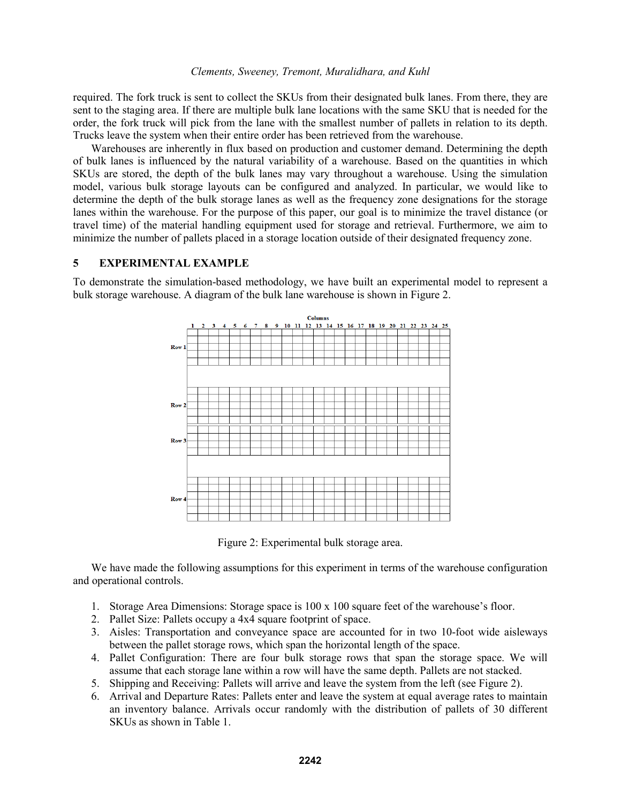required. The fork truck is sent to collect the SKUs from their designated bulk lanes. From there, they are sent to the staging area. If there are multiple bulk lane locations with the same SKU that is needed for the order, the fork truck will pick from the lane with the smallest number of pallets in relation to its depth. Trucks leave the system when their entire order has been retrieved from the warehouse.

Warehouses are inherently in flux based on production and customer demand. Determining the depth of bulk lanes is influenced by the natural variability of a warehouse. Based on the quantities in which SKUs are stored, the depth of the bulk lanes may vary throughout a warehouse. Using the simulation model, various bulk storage layouts can be configured and analyzed. In particular, we would like to determine the depth of the bulk storage lanes as well as the frequency zone designations for the storage lanes within the warehouse. For the purpose of this paper, our goal is to minimize the travel distance (or travel time) of the material handling equipment used for storage and retrieval. Furthermore, we aim to minimize the number of pallets placed in a storage location outside of their designated frequency zone.

### **5 EXPERIMENTAL EXAMPLE**

To demonstrate the simulation-based methodology, we have built an experimental model to represent a bulk storage warehouse. A diagram of the bulk lane warehouse is shown in Figure 2.



Figure 2: Experimental bulk storage area.

We have made the following assumptions for this experiment in terms of the warehouse configuration and operational controls.

- 1. Storage Area Dimensions: Storage space is 100 x 100 square feet of the warehouse's floor.
- 2. Pallet Size: Pallets occupy a 4x4 square footprint of space.
- 3. Aisles: Transportation and conveyance space are accounted for in two 10-foot wide aisleways between the pallet storage rows, which span the horizontal length of the space.
- 4. Pallet Configuration: There are four bulk storage rows that span the storage space. We will assume that each storage lane within a row will have the same depth. Pallets are not stacked.
- 5. Shipping and Receiving: Pallets will arrive and leave the system from the left (see Figure 2).
- 6. Arrival and Departure Rates: Pallets enter and leave the system at equal average rates to maintain an inventory balance. Arrivals occur randomly with the distribution of pallets of 30 different SKUs as shown in Table 1.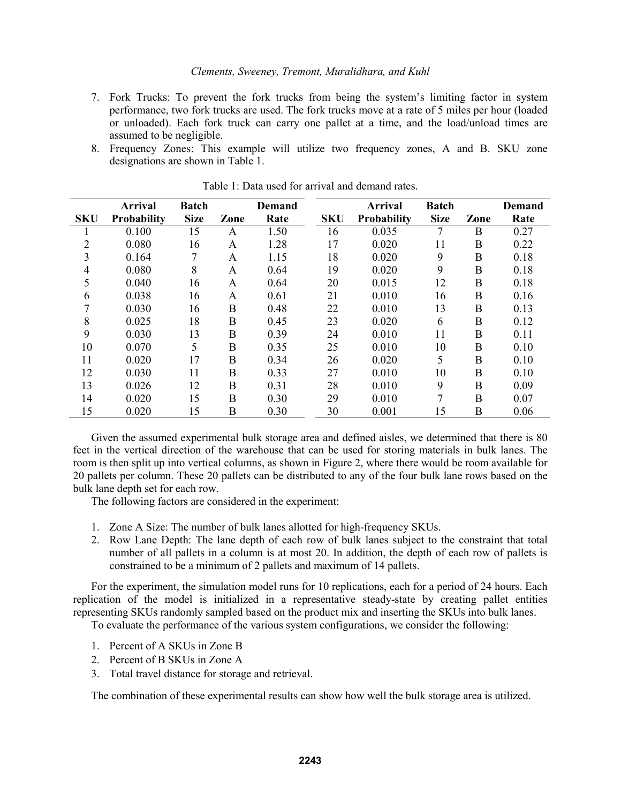- 7. Fork Trucks: To prevent the fork trucks from being the system's limiting factor in system performance, two fork trucks are used. The fork trucks move at a rate of 5 miles per hour (loaded or unloaded). Each fork truck can carry one pallet at a time, and the load/unload times are assumed to be negligible.
- 8. Frequency Zones: This example will utilize two frequency zones, A and B. SKU zone designations are shown in Table 1.

|                | <b>Arrival</b>     | <b>Batch</b> |             | <b>Demand</b> |            | <b>Arrival</b> | <b>Batch</b> |          | <b>Demand</b> |
|----------------|--------------------|--------------|-------------|---------------|------------|----------------|--------------|----------|---------------|
| <b>SKU</b>     | <b>Probability</b> | <b>Size</b>  | Zone        | Rate          | <b>SKU</b> | Probability    | <b>Size</b>  | Zone     | Rate          |
|                | 0.100              | 15           | A           | 1.50          | 16         | 0.035          | 7            | B        | 0.27          |
| $\overline{2}$ | 0.080              | 16           | A           | 1.28          | 17         | 0.020          | 11           | B        | 0.22          |
| 3              | 0.164              |              | A           | 1.15          | 18         | 0.020          | 9            | $\bf{B}$ | 0.18          |
| $\overline{4}$ | 0.080              | 8            | A           | 0.64          | 19         | 0.020          | 9            | B        | 0.18          |
| 5              | 0.040              | 16           | A           | 0.64          | 20         | 0.015          | 12           | B        | 0.18          |
| 6              | 0.038              | 16           | A           | 0.61          | 21         | 0.010          | 16           | $\bf{B}$ | 0.16          |
| 7              | 0.030              | 16           | B           | 0.48          | 22         | 0.010          | 13           | B        | 0.13          |
| 8              | 0.025              | 18           | B           | 0.45          | 23         | 0.020          | 6            | B        | 0.12          |
| 9              | 0.030              | 13           | $\mathbf B$ | 0.39          | 24         | 0.010          | 11           | B        | 0.11          |
| 10             | 0.070              | 5            | $\bf{B}$    | 0.35          | 25         | 0.010          | 10           | B        | 0.10          |
| 11             | 0.020              | 17           | B           | 0.34          | 26         | 0.020          | 5            | B        | 0.10          |
| 12             | 0.030              | 11           | B           | 0.33          | 27         | 0.010          | 10           | B        | 0.10          |
| 13             | 0.026              | 12           | $\bf{B}$    | 0.31          | 28         | 0.010          | 9            | $\bf{B}$ | 0.09          |
| 14             | 0.020              | 15           | B           | 0.30          | 29         | 0.010          | 7            | B        | 0.07          |
| 15             | 0.020              | 15           | B           | 0.30          | 30         | 0.001          | 15           | B        | 0.06          |

Table 1: Data used for arrival and demand rates.

Given the assumed experimental bulk storage area and defined aisles, we determined that there is 80 feet in the vertical direction of the warehouse that can be used for storing materials in bulk lanes. The room is then split up into vertical columns, as shown in Figure 2, where there would be room available for 20 pallets per column. These 20 pallets can be distributed to any of the four bulk lane rows based on the bulk lane depth set for each row.

The following factors are considered in the experiment:

- 1. Zone A Size: The number of bulk lanes allotted for high-frequency SKUs.
- 2. Row Lane Depth: The lane depth of each row of bulk lanes subject to the constraint that total number of all pallets in a column is at most 20. In addition, the depth of each row of pallets is constrained to be a minimum of 2 pallets and maximum of 14 pallets.

For the experiment, the simulation model runs for 10 replications, each for a period of 24 hours. Each replication of the model is initialized in a representative steady-state by creating pallet entities representing SKUs randomly sampled based on the product mix and inserting the SKUs into bulk lanes.

To evaluate the performance of the various system configurations, we consider the following:

- 1. Percent of A SKUs in Zone B
- 2. Percent of B SKUs in Zone A
- 3. Total travel distance for storage and retrieval.

The combination of these experimental results can show how well the bulk storage area is utilized.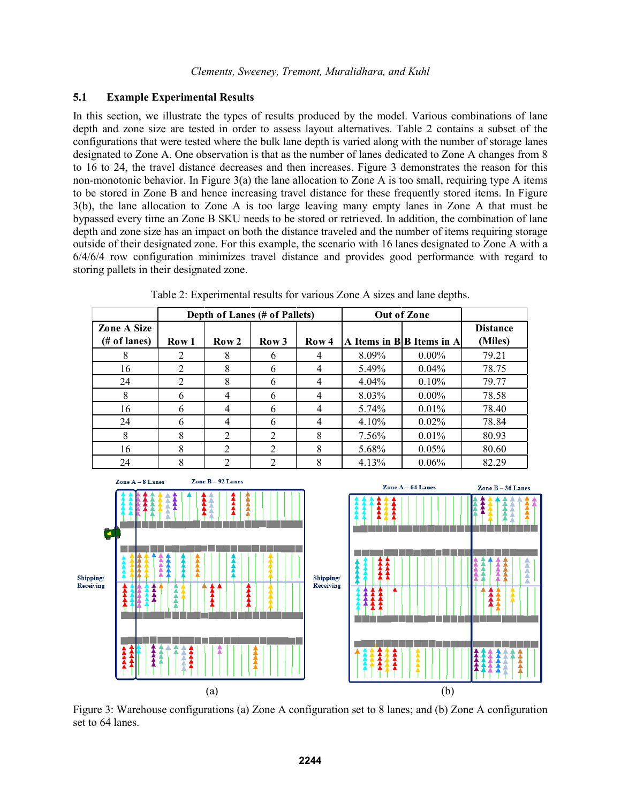# **5.1 Example Experimental Results**

In this section, we illustrate the types of results produced by the model. Various combinations of lane depth and zone size are tested in order to assess layout alternatives. Table 2 contains a subset of the configurations that were tested where the bulk lane depth is varied along with the number of storage lanes designated to Zone A. One observation is that as the number of lanes dedicated to Zone A changes from 8 to 16 to 24, the travel distance decreases and then increases. Figure 3 demonstrates the reason for this non-monotonic behavior. In Figure 3(a) the lane allocation to Zone A is too small, requiring type A items to be stored in Zone B and hence increasing travel distance for these frequently stored items. In Figure 3(b), the lane allocation to Zone A is too large leaving many empty lanes in Zone A that must be bypassed every time an Zone B SKU needs to be stored or retrieved. In addition, the combination of lane depth and zone size has an impact on both the distance traveled and the number of items requiring storage outside of their designated zone. For this example, the scenario with 16 lanes designated to Zone A with a 6/4/6/4 row configuration minimizes travel distance and provides good performance with regard to storing pallets in their designated zone.

|                                |       |                  | Depth of Lanes (# of Pallets) |                  | Out of Zone |                             |                            |
|--------------------------------|-------|------------------|-------------------------------|------------------|-------------|-----------------------------|----------------------------|
| <b>Zone A Size</b><br>$# of l$ | Row 1 | Row <sub>2</sub> | Row <sub>3</sub>              | Row <sub>4</sub> |             | A Items in $B B$ Items in A | <b>Distance</b><br>(Miles) |
| 8                              |       | 8                | 6                             | 4                | 8.09%       | $0.00\%$                    | 79.21                      |
| 16                             | 2     | 8                | 6                             |                  | 5.49%       | 0.04%                       | 78.75                      |
| 24                             | 2     | 8                | 6                             |                  | 4.04%       | 0.10%                       | 79.77                      |
| 8                              | 6     | 4                | 6                             | 4                | 8.03%       | $0.00\%$                    | 78.58                      |
| 16                             | 6     | 4                | 6                             | 4                | 5.74%       | 0.01%                       | 78.40                      |
| 24                             | 6     | 4                | 6                             | 4                | 4.10%       | 0.02%                       | 78.84                      |
| 8                              | 8     | 2                | $\overline{2}$                | 8                | 7.56%       | 0.01%                       | 80.93                      |
| 16                             | 8     | 2                | $\overline{2}$                | 8                | 5.68%       | 0.05%                       | 80.60                      |
| 24                             | 8     | 2                | ↑                             | 8                | 4.13%       | $0.06\%$                    | 82.29                      |

Table 2: Experimental results for various Zone A sizes and lane depths.



Figure 3: Warehouse configurations (a) Zone A configuration set to 8 lanes; and (b) Zone A configuration set to 64 lanes.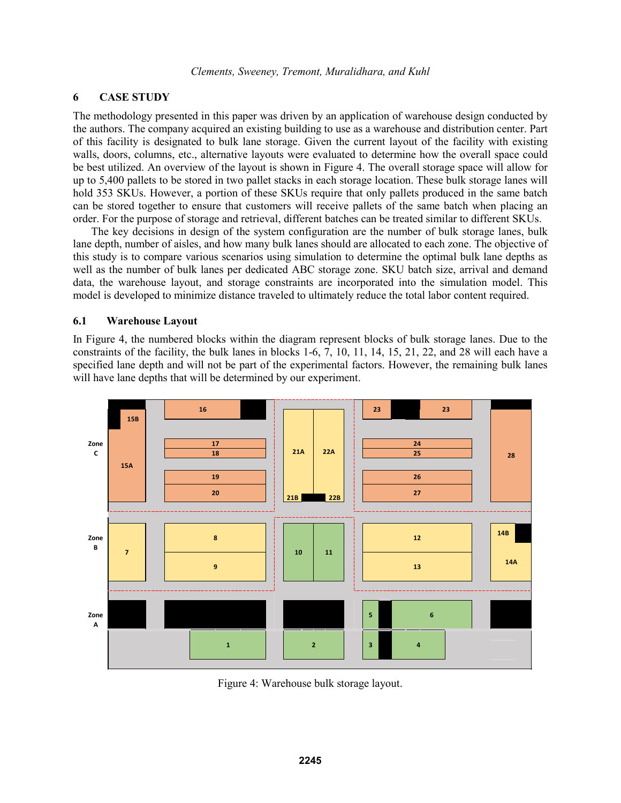# **6 CASE STUDY**

The methodology presented in this paper was driven by an application of warehouse design conducted by the authors. The company acquired an existing building to use as a warehouse and distribution center. Part of this facility is designated to bulk lane storage. Given the current layout of the facility with existing walls, doors, columns, etc., alternative layouts were evaluated to determine how the overall space could be best utilized. An overview of the layout is shown in Figure 4. The overall storage space will allow for up to 5,400 pallets to be stored in two pallet stacks in each storage location. These bulk storage lanes will hold 353 SKUs. However, a portion of these SKUs require that only pallets produced in the same batch can be stored together to ensure that customers will receive pallets of the same batch when placing an order. For the purpose of storage and retrieval, different batches can be treated similar to different SKUs.

The key decisions in design of the system configuration are the number of bulk storage lanes, bulk lane depth, number of aisles, and how many bulk lanes should are allocated to each zone. The objective of this study is to compare various scenarios using simulation to determine the optimal bulk lane depths as well as the number of bulk lanes per dedicated ABC storage zone. SKU batch size, arrival and demand data, the warehouse layout, and storage constraints are incorporated into the simulation model. This model is developed to minimize distance traveled to ultimately reduce the total labor content required.

#### **6.1 Warehouse Layout**

In Figure 4, the numbered blocks within the diagram represent blocks of bulk storage lanes. Due to the constraints of the facility, the bulk lanes in blocks 1-6, 7, 10, 11, 14, 15, 21, 22, and 28 will each have a specified lane depth and will not be part of the experimental factors. However, the remaining bulk lanes will have lane depths that will be determined by our experiment.



Figure 4: Warehouse bulk storage layout.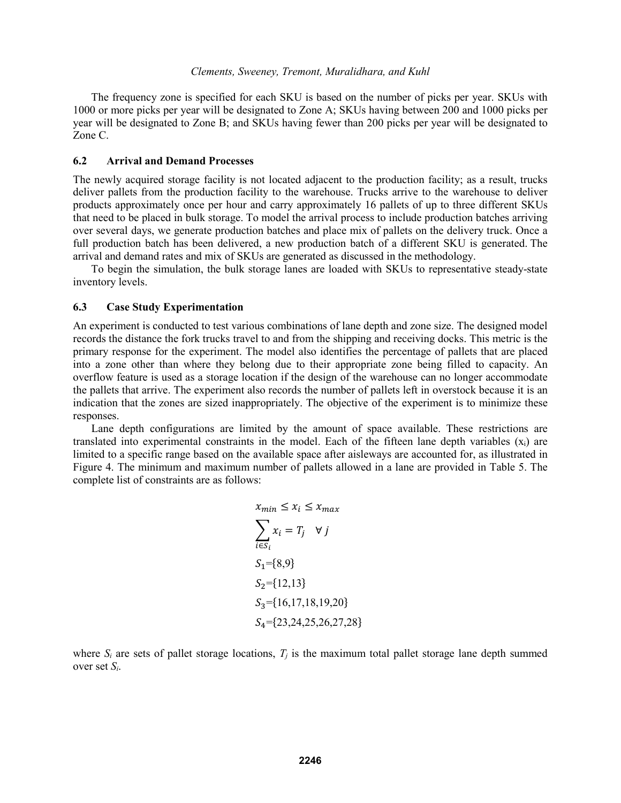The frequency zone is specified for each SKU is based on the number of picks per year. SKUs with 1000 or more picks per year will be designated to Zone A; SKUs having between 200 and 1000 picks per year will be designated to Zone B; and SKUs having fewer than 200 picks per year will be designated to Zone C.

#### **6.2 Arrival and Demand Processes**

The newly acquired storage facility is not located adjacent to the production facility; as a result, trucks deliver pallets from the production facility to the warehouse. Trucks arrive to the warehouse to deliver products approximately once per hour and carry approximately 16 pallets of up to three different SKUs that need to be placed in bulk storage. To model the arrival process to include production batches arriving over several days, we generate production batches and place mix of pallets on the delivery truck. Once a full production batch has been delivered, a new production batch of a different SKU is generated. The arrival and demand rates and mix of SKUs are generated as discussed in the methodology.

To begin the simulation, the bulk storage lanes are loaded with SKUs to representative steady-state inventory levels.

#### **6.3 Case Study Experimentation**

An experiment is conducted to test various combinations of lane depth and zone size. The designed model records the distance the fork trucks travel to and from the shipping and receiving docks. This metric is the primary response for the experiment. The model also identifies the percentage of pallets that are placed into a zone other than where they belong due to their appropriate zone being filled to capacity. An overflow feature is used as a storage location if the design of the warehouse can no longer accommodate the pallets that arrive. The experiment also records the number of pallets left in overstock because it is an indication that the zones are sized inappropriately. The objective of the experiment is to minimize these responses.

Lane depth configurations are limited by the amount of space available. These restrictions are translated into experimental constraints in the model. Each of the fifteen lane depth variables  $(x<sub>i</sub>)$  are limited to a specific range based on the available space after aisleways are accounted for, as illustrated in Figure 4. The minimum and maximum number of pallets allowed in a lane are provided in Table 5. The complete list of constraints are as follows:

$$
x_{min} \le x_i \le x_{max}
$$
  
\n
$$
\sum_{i \in S_i} x_i = T_j \quad \forall j
$$
  
\n
$$
S_1 = \{8, 9\}
$$
  
\n
$$
S_2 = \{12, 13\}
$$
  
\n
$$
S_3 = \{16, 17, 18, 19, 20\}
$$
  
\n
$$
S_4 = \{23, 24, 25, 26, 27, 28\}
$$

where  $S_i$  are sets of pallet storage locations,  $T_i$  is the maximum total pallet storage lane depth summed over set *Si*.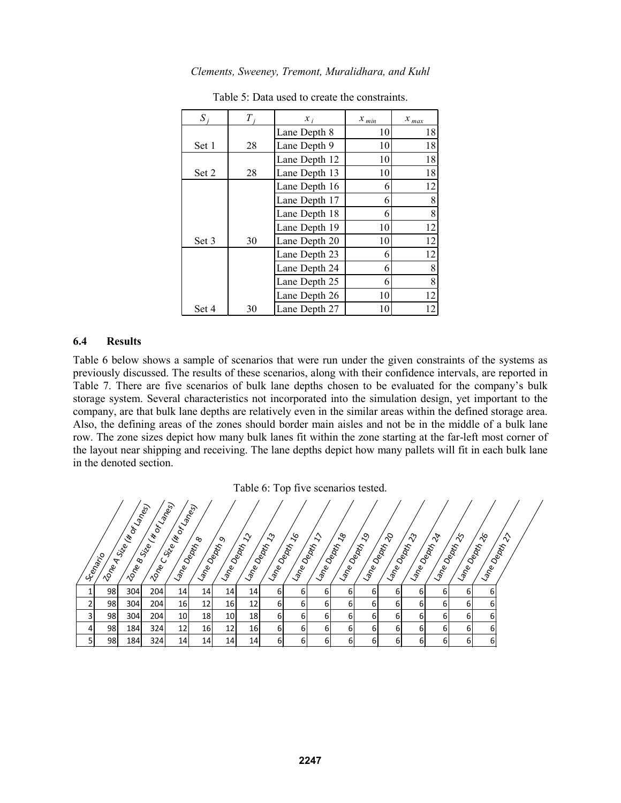| $S_i$ | Т  | $x_i$         | $x_{min}$ | $x_{max}$ |  |
|-------|----|---------------|-----------|-----------|--|
|       |    | Lane Depth 8  | 10        | 18        |  |
| Set 1 | 28 | Lane Depth 9  | 10        | 18        |  |
|       |    | Lane Depth 12 | 10        | 18        |  |
| Set 2 | 28 | Lane Depth 13 | 10        | 18        |  |
|       |    | Lane Depth 16 | 6         | 12        |  |
|       |    | Lane Depth 17 | 6         | 8         |  |
|       |    | Lane Depth 18 | 6         | 8         |  |
|       |    | Lane Depth 19 | 10        | 12        |  |
| Set 3 | 30 | Lane Depth 20 | 10        | 12        |  |
|       |    | Lane Depth 23 | 6         | 12        |  |
|       |    | Lane Depth 24 | 6         | 8         |  |
|       |    | Lane Depth 25 | 6         | 8         |  |
|       |    | Lane Depth 26 | 10        | 12        |  |
| Set 4 | 30 | Lane Depth 27 | 10        | 12        |  |

Table 5: Data used to create the constraints.

### **6.4 Results**

Table 6 below shows a sample of scenarios that were run under the given constraints of the systems as previously discussed. The results of these scenarios, along with their confidence intervals, are reported in Table 7. There are five scenarios of bulk lane depths chosen to be evaluated for the company's bulk storage system. Several characteristics not incorporated into the simulation design, yet important to the company, are that bulk lane depths are relatively even in the similar areas within the defined storage area. Also, the defining areas of the zones should border main aisles and not be in the middle of a bulk lane row. The zone sizes depict how many bulk lanes fit within the zone starting at the far-left most corner of the layout near shipping and receiving. The lane depths depict how many pallets will fit in each bulk lane in the denoted section.

Table 6: Top five scenarios tested.

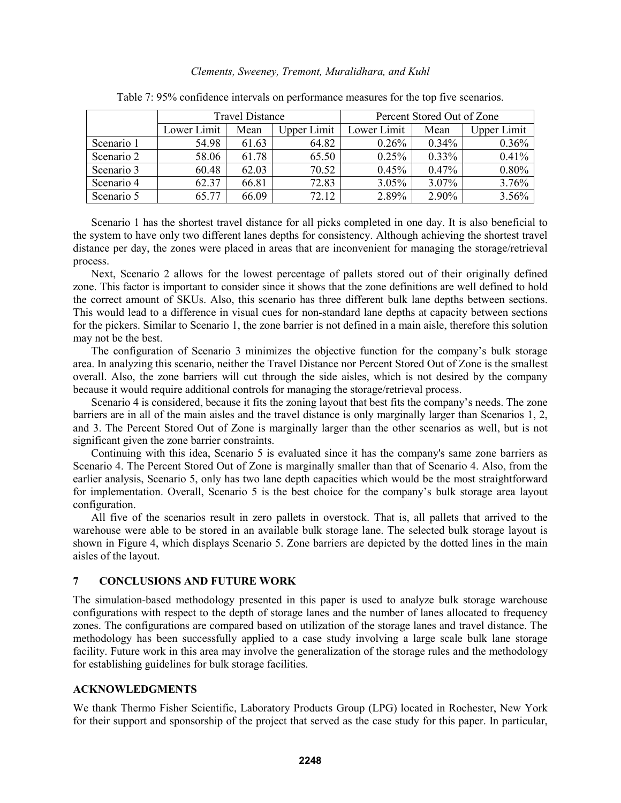|            |             | <b>Travel Distance</b> |             | Percent Stored Out of Zone |          |                    |  |
|------------|-------------|------------------------|-------------|----------------------------|----------|--------------------|--|
|            | Lower Limit | Mean                   | Upper Limit | Lower Limit                | Mean     | <b>Upper Limit</b> |  |
| Scenario 1 | 54.98       | 61.63                  | 64.82       | $0.26\%$                   | $0.34\%$ | 0.36%              |  |
| Scenario 2 | 58.06       | 61.78                  | 65.50       | 0.25%                      | $0.33\%$ | 0.41%              |  |
| Scenario 3 | 60.48       | 62.03                  | 70.52       | 0.45%                      | 0.47%    | 0.80%              |  |
| Scenario 4 | 62.37       | 66.81                  | 72.83       | 3.05%                      | $3.07\%$ | 3.76%              |  |
| Scenario 5 | 65.77       | 66.09                  | 72.12       | 2.89%                      | 2.90%    | 3.56%              |  |

Table 7: 95% confidence intervals on performance measures for the top five scenarios.

Scenario 1 has the shortest travel distance for all picks completed in one day. It is also beneficial to the system to have only two different lanes depths for consistency. Although achieving the shortest travel distance per day, the zones were placed in areas that are inconvenient for managing the storage/retrieval process.

Next, Scenario 2 allows for the lowest percentage of pallets stored out of their originally defined zone. This factor is important to consider since it shows that the zone definitions are well defined to hold the correct amount of SKUs. Also, this scenario has three different bulk lane depths between sections. This would lead to a difference in visual cues for non-standard lane depths at capacity between sections for the pickers. Similar to Scenario 1, the zone barrier is not defined in a main aisle, therefore this solution may not be the best.

The configuration of Scenario 3 minimizes the objective function for the company's bulk storage area. In analyzing this scenario, neither the Travel Distance nor Percent Stored Out of Zone is the smallest overall. Also, the zone barriers will cut through the side aisles, which is not desired by the company because it would require additional controls for managing the storage/retrieval process.

Scenario 4 is considered, because it fits the zoning layout that best fits the company's needs. The zone barriers are in all of the main aisles and the travel distance is only marginally larger than Scenarios 1, 2, and 3. The Percent Stored Out of Zone is marginally larger than the other scenarios as well, but is not significant given the zone barrier constraints.

Continuing with this idea, Scenario 5 is evaluated since it has the company's same zone barriers as Scenario 4. The Percent Stored Out of Zone is marginally smaller than that of Scenario 4. Also, from the earlier analysis, Scenario 5, only has two lane depth capacities which would be the most straightforward for implementation. Overall, Scenario 5 is the best choice for the company's bulk storage area layout configuration.

All five of the scenarios result in zero pallets in overstock. That is, all pallets that arrived to the warehouse were able to be stored in an available bulk storage lane. The selected bulk storage layout is shown in Figure 4, which displays Scenario 5. Zone barriers are depicted by the dotted lines in the main aisles of the layout.

### **7 CONCLUSIONS AND FUTURE WORK**

The simulation-based methodology presented in this paper is used to analyze bulk storage warehouse configurations with respect to the depth of storage lanes and the number of lanes allocated to frequency zones. The configurations are compared based on utilization of the storage lanes and travel distance. The methodology has been successfully applied to a case study involving a large scale bulk lane storage facility. Future work in this area may involve the generalization of the storage rules and the methodology for establishing guidelines for bulk storage facilities.

# **ACKNOWLEDGMENTS**

We thank Thermo Fisher Scientific, Laboratory Products Group (LPG) located in Rochester, New York for their support and sponsorship of the project that served as the case study for this paper. In particular,